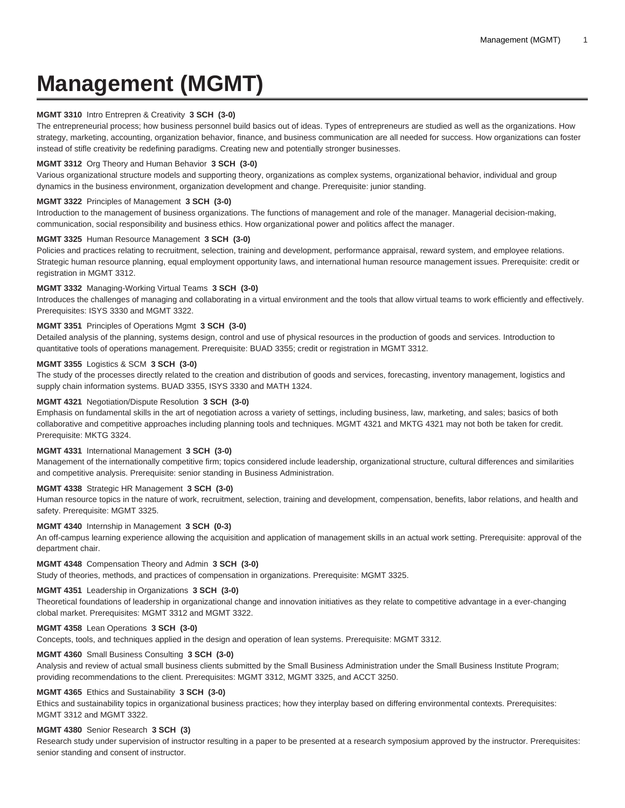# **Management (MGMT)**

## **MGMT 3310** Intro Entrepren & Creativity **3 SCH (3-0)**

The entrepreneurial process; how business personnel build basics out of ideas. Types of entrepreneurs are studied as well as the organizations. How strategy, marketing, accounting, organization behavior, finance, and business communication are all needed for success. How organizations can foster instead of stifle creativity be redefining paradigms. Creating new and potentially stronger businesses.

## **MGMT 3312** Org Theory and Human Behavior **3 SCH (3-0)**

Various organizational structure models and supporting theory, organizations as complex systems, organizational behavior, individual and group dynamics in the business environment, organization development and change. Prerequisite: junior standing.

#### **MGMT 3322** Principles of Management **3 SCH (3-0)**

Introduction to the management of business organizations. The functions of management and role of the manager. Managerial decision-making, communication, social responsibility and business ethics. How organizational power and politics affect the manager.

#### **MGMT 3325** Human Resource Management **3 SCH (3-0)**

Policies and practices relating to recruitment, selection, training and development, performance appraisal, reward system, and employee relations. Strategic human resource planning, equal employment opportunity laws, and international human resource management issues. Prerequisite: credit or registration in MGMT 3312.

#### **MGMT 3332** Managing-Working Virtual Teams **3 SCH (3-0)**

Introduces the challenges of managing and collaborating in a virtual environment and the tools that allow virtual teams to work efficiently and effectively. Prerequisites: ISYS 3330 and MGMT 3322.

# **MGMT 3351** Principles of Operations Mgmt **3 SCH (3-0)**

Detailed analysis of the planning, systems design, control and use of physical resources in the production of goods and services. Introduction to quantitative tools of operations management. Prerequisite: BUAD 3355; credit or registration in MGMT 3312.

## **MGMT 3355** Logistics & SCM **3 SCH (3-0)**

The study of the processes directly related to the creation and distribution of goods and services, forecasting, inventory management, logistics and supply chain information systems. BUAD 3355, ISYS 3330 and MATH 1324.

## **MGMT 4321** Negotiation/Dispute Resolution **3 SCH (3-0)**

Emphasis on fundamental skills in the art of negotiation across a variety of settings, including business, law, marketing, and sales; basics of both collaborative and competitive approaches including planning tools and techniques. MGMT 4321 and MKTG 4321 may not both be taken for credit. Prerequisite: MKTG 3324.

## **MGMT 4331** International Management **3 SCH (3-0)**

Management of the internationally competitive firm; topics considered include leadership, organizational structure, cultural differences and similarities and competitive analysis. Prerequisite: senior standing in Business Administration.

## **MGMT 4338** Strategic HR Management **3 SCH (3-0)**

Human resource topics in the nature of work, recruitment, selection, training and development, compensation, benefits, labor relations, and health and safety. Prerequisite: MGMT 3325.

## **MGMT 4340** Internship in Management **3 SCH (0-3)**

An off-campus learning experience allowing the acquisition and application of management skills in an actual work setting. Prerequisite: approval of the department chair.

#### **MGMT 4348** Compensation Theory and Admin **3 SCH (3-0)**

Study of theories, methods, and practices of compensation in organizations. Prerequisite: MGMT 3325.

#### **MGMT 4351** Leadership in Organizations **3 SCH (3-0)**

Theoretical foundations of leadership in organizational change and innovation initiatives as they relate to competitive advantage in a ever-changing clobal market. Prerequisites: MGMT 3312 and MGMT 3322.

## **MGMT 4358** Lean Operations **3 SCH (3-0)**

Concepts, tools, and techniques applied in the design and operation of lean systems. Prerequisite: MGMT 3312.

## **MGMT 4360** Small Business Consulting **3 SCH (3-0)**

Analysis and review of actual small business clients submitted by the Small Business Administration under the Small Business Institute Program; providing recommendations to the client. Prerequisites: MGMT 3312, MGMT 3325, and ACCT 3250.

#### **MGMT 4365** Ethics and Sustainability **3 SCH (3-0)**

Ethics and sustainability topics in organizational business practices; how they interplay based on differing environmental contexts. Prerequisites: MGMT 3312 and MGMT 3322.

#### **MGMT 4380** Senior Research **3 SCH (3)**

Research study under supervision of instructor resulting in a paper to be presented at a research symposium approved by the instructor. Prerequisites: senior standing and consent of instructor.